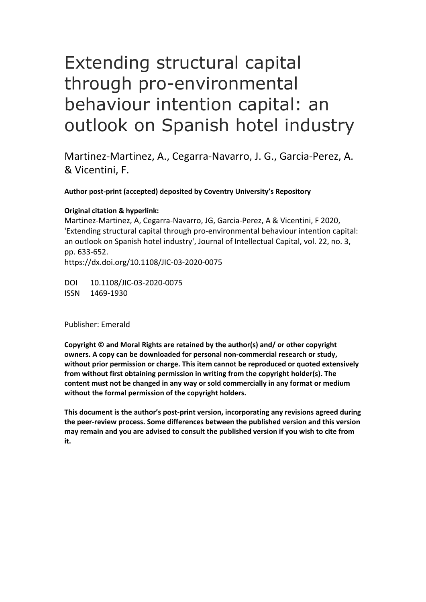# Extending structural capital through pro-environmental behaviour intention capital: an outlook on Spanish hotel industry

Martinez-Martinez, A., Cegarra-Navarro, J. G., Garcia-Perez, A. & Vicentini, F.

**Author post-print (accepted) deposited by Coventry University's Repository**

#### **Original citation & hyperlink:**

Martinez-Martinez, A, Cegarra-Navarro, JG, Garcia-Perez, A & Vicentini, F 2020, 'Extending structural capital through pro-environmental behaviour intention capital: an outlook on Spanish hotel industry', Journal of Intellectual Capital, vol. 22, no. 3, pp. 633-652. https://dx.doi.org/10.1108/JIC-03-2020-0075

DOI 10.1108/JIC-03-2020-0075 ISSN 1469-1930

Publisher: Emerald

**Copyright © and Moral Rights are retained by the author(s) and/ or other copyright owners. A copy can be downloaded for personal non-commercial research or study, without prior permission or charge. This item cannot be reproduced or quoted extensively from without first obtaining permission in writing from the copyright holder(s). The content must not be changed in any way or sold commercially in any format or medium without the formal permission of the copyright holders.** 

**This document is the author's post-print version, incorporating any revisions agreed during the peer-review process. Some differences between the published version and this version may remain and you are advised to consult the published version if you wish to cite from it.**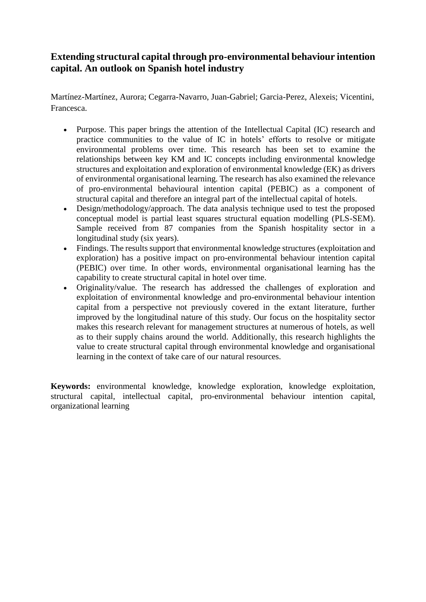# **Extending structural capital through pro-environmental behaviour intention capital. An outlook on Spanish hotel industry**

Martínez-Martínez, Aurora; Cegarra-Navarro, Juan-Gabriel; Garcia-Perez, Alexeis; Vicentini, Francesca.

- Purpose. This paper brings the attention of the Intellectual Capital (IC) research and practice communities to the value of IC in hotels' efforts to resolve or mitigate environmental problems over time. This research has been set to examine the relationships between key KM and IC concepts including environmental knowledge structures and exploitation and exploration of environmental knowledge (EK) as drivers of environmental organisational learning. The research has also examined the relevance of pro-environmental behavioural intention capital (PEBIC) as a component of structural capital and therefore an integral part of the intellectual capital of hotels.
- Design/methodology/approach. The data analysis technique used to test the proposed conceptual model is partial least squares structural equation modelling (PLS-SEM). Sample received from 87 companies from the Spanish hospitality sector in a longitudinal study (six years).
- Findings. The results support that environmental knowledge structures (exploitation and exploration) has a positive impact on pro-environmental behaviour intention capital (PEBIC) over time. In other words, environmental organisational learning has the capability to create structural capital in hotel over time.
- Originality/value. The research has addressed the challenges of exploration and exploitation of environmental knowledge and pro-environmental behaviour intention capital from a perspective not previously covered in the extant literature, further improved by the longitudinal nature of this study. Our focus on the hospitality sector makes this research relevant for management structures at numerous of hotels, as well as to their supply chains around the world. Additionally, this research highlights the value to create structural capital through environmental knowledge and organisational learning in the context of take care of our natural resources.

**Keywords:** environmental knowledge, knowledge exploration, knowledge exploitation, structural capital, intellectual capital, pro-environmental behaviour intention capital, organizational learning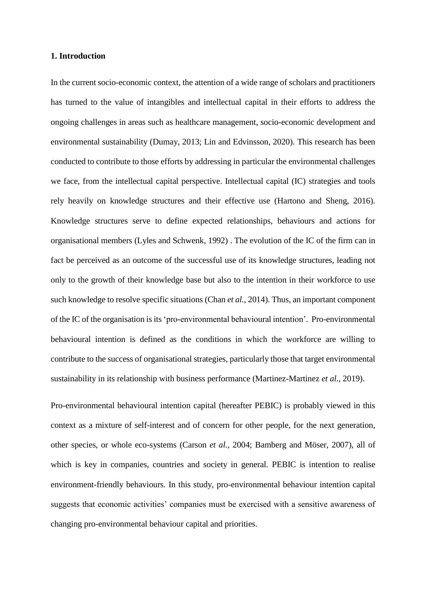#### **1. Introduction**

In the current socio-economic context, the attention of a wide range of scholars and practitioners has turned to the value of intangibles and intellectual capital in their efforts to address the ongoing challenges in areas such as healthcare management, socio-economic development and environmental sustainability (Dumay, 2013; Lin and Edvinsson, 2020). This research has been conducted to contribute to those efforts by addressing in particular the environmental challenges we face, from the intellectual capital perspective. Intellectual capital (IC) strategies and tools rely heavily on knowledge structures and their effective use (Hartono and Sheng, 2016). Knowledge structures serve to define expected relationships, behaviours and actions for organisational members (Lyles and Schwenk, 1992) . The evolution of the IC of the firm can in fact be perceived as an outcome of the successful use of its knowledge structures, leading not only to the growth of their knowledge base but also to the intention in their workforce to use such knowledge to resolve specific situations (Chan *et al.*, 2014). Thus, an important component of the IC of the organisation is its 'pro-environmental behavioural intention'. Pro-environmental behavioural intention is defined as the conditions in which the workforce are willing to contribute to the success of organisational strategies, particularly those that target environmental sustainability in its relationship with business performance (Martinez-Martinez *et al.*, 2019).

Pro-environmental behavioural intention capital (hereafter PEBIC) is probably viewed in this context as a mixture of self-interest and of concern for other people, for the next generation, other species, or whole eco-systems (Carson *et al.*, 2004; Bamberg and Möser, 2007), all of which is key in companies, countries and society in general. PEBIC is intention to realise environment-friendly behaviours. In this study, pro-environmental behaviour intention capital suggests that economic activities' companies must be exercised with a sensitive awareness of changing pro-environmental behaviour capital and priorities.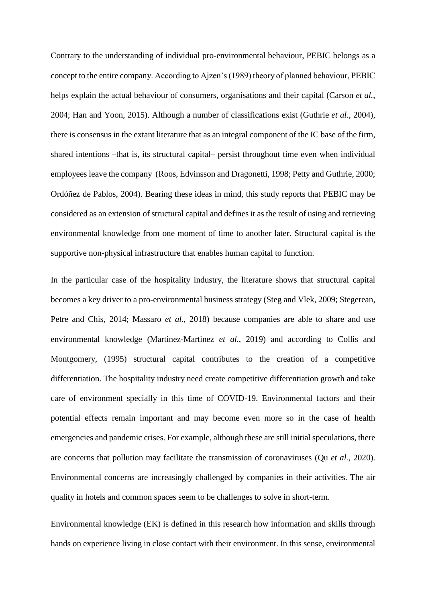Contrary to the understanding of individual pro-environmental behaviour, PEBIC belongs as a concept to the entire company. According to Ajzen's (1989) theory of planned behaviour, PEBIC helps explain the actual behaviour of consumers, organisations and their capital (Carson *et al.*, 2004; Han and Yoon, 2015). Although a number of classifications exist (Guthrie *et al.*, 2004), there is consensus in the extant literature that as an integral component of the IC base of the firm, shared intentions –that is, its structural capital– persist throughout time even when individual employees leave the company (Roos, Edvinsson and Dragonetti, 1998; Petty and Guthrie, 2000; Ordóñez de Pablos, 2004). Bearing these ideas in mind, this study reports that PEBIC may be considered as an extension of structural capital and defines it as the result of using and retrieving environmental knowledge from one moment of time to another later. Structural capital is the supportive non-physical infrastructure that enables human capital to function.

In the particular case of the hospitality industry, the literature shows that structural capital becomes a key driver to a pro-environmental business strategy (Steg and Vlek, 2009; Stegerean, Petre and Chis, 2014; Massaro *et al.*, 2018) because companies are able to share and use environmental knowledge (Martinez-Martinez *et al.*, 2019) and according to Collis and Montgomery, (1995) structural capital contributes to the creation of a competitive differentiation. The hospitality industry need create competitive differentiation growth and take care of environment specially in this time of COVID-19. Environmental factors and their potential effects remain important and may become even more so in the case of health emergencies and pandemic crises. For example, although these are still initial speculations, there are concerns that pollution may facilitate the transmission of coronaviruses (Qu *et al.*, 2020). Environmental concerns are increasingly challenged by companies in their activities. The air quality in hotels and common spaces seem to be challenges to solve in short-term.

Environmental knowledge (EK) is defined in this research how information and skills through hands on experience living in close contact with their environment. In this sense, environmental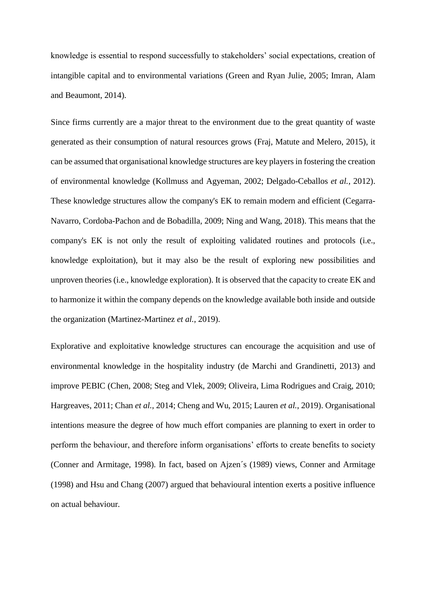knowledge is essential to respond successfully to stakeholders' social expectations, creation of intangible capital and to environmental variations (Green and Ryan Julie, 2005; Imran, Alam and Beaumont, 2014).

Since firms currently are a major threat to the environment due to the great quantity of waste generated as their consumption of natural resources grows (Fraj, Matute and Melero, 2015), it can be assumed that organisational knowledge structures are key players in fostering the creation of environmental knowledge (Kollmuss and Agyeman, 2002; Delgado-Ceballos *et al.*, 2012). These knowledge structures allow the company's EK to remain modern and efficient (Cegarra-Navarro, Cordoba-Pachon and de Bobadilla, 2009; Ning and Wang, 2018). This means that the company's EK is not only the result of exploiting validated routines and protocols (i.e., knowledge exploitation), but it may also be the result of exploring new possibilities and unproven theories (i.e., knowledge exploration). It is observed that the capacity to create EK and to harmonize it within the company depends on the knowledge available both inside and outside the organization (Martinez-Martinez *et al.*, 2019).

Explorative and exploitative knowledge structures can encourage the acquisition and use of environmental knowledge in the hospitality industry (de Marchi and Grandinetti, 2013) and improve PEBIC (Chen, 2008; Steg and Vlek, 2009; Oliveira, Lima Rodrigues and Craig, 2010; Hargreaves, 2011; Chan *et al.*, 2014; Cheng and Wu, 2015; Lauren *et al.*, 2019). Organisational intentions measure the degree of how much effort companies are planning to exert in order to perform the behaviour, and therefore inform organisations' efforts to create benefits to society (Conner and Armitage, 1998). In fact, based on Ajzen´s (1989) views, Conner and Armitage (1998) and Hsu and Chang (2007) argued that behavioural intention exerts a positive influence on actual behaviour.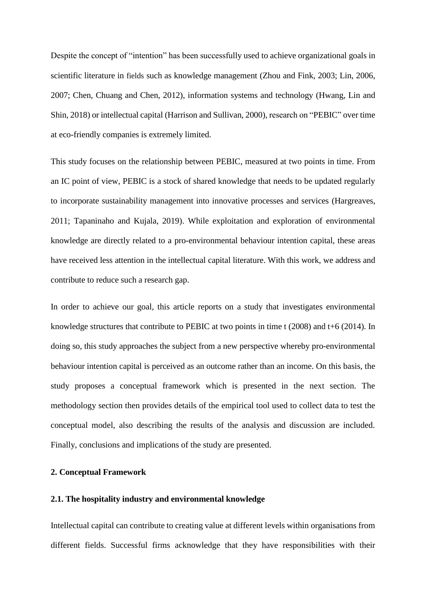Despite the concept of "intention" has been successfully used to achieve organizational goals in scientific literature in fields such as knowledge management (Zhou and Fink, 2003; Lin, 2006, 2007; Chen, Chuang and Chen, 2012), information systems and technology (Hwang, Lin and Shin, 2018) or intellectual capital (Harrison and Sullivan, 2000), research on "PEBIC" over time at eco-friendly companies is extremely limited.

This study focuses on the relationship between PEBIC, measured at two points in time. From an IC point of view, PEBIC is a stock of shared knowledge that needs to be updated regularly to incorporate sustainability management into innovative processes and services (Hargreaves, 2011; Tapaninaho and Kujala, 2019). While exploitation and exploration of environmental knowledge are directly related to a pro-environmental behaviour intention capital, these areas have received less attention in the intellectual capital literature. With this work, we address and contribute to reduce such a research gap.

In order to achieve our goal, this article reports on a study that investigates environmental knowledge structures that contribute to PEBIC at two points in time t (2008) and t+6 (2014). In doing so, this study approaches the subject from a new perspective whereby pro-environmental behaviour intention capital is perceived as an outcome rather than an income. On this basis, the study proposes a conceptual framework which is presented in the next section. The methodology section then provides details of the empirical tool used to collect data to test the conceptual model, also describing the results of the analysis and discussion are included. Finally, conclusions and implications of the study are presented.

#### **2. Conceptual Framework**

### **2.1. The hospitality industry and environmental knowledge**

Intellectual capital can contribute to creating value at different levels within organisations from different fields. Successful firms acknowledge that they have responsibilities with their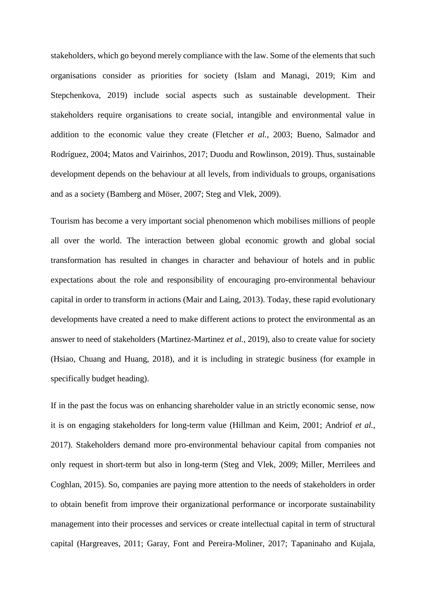stakeholders, which go beyond merely compliance with the law. Some of the elements that such organisations consider as priorities for society (Islam and Managi, 2019; Kim and Stepchenkova, 2019) include social aspects such as sustainable development. Their stakeholders require organisations to create social, intangible and environmental value in addition to the economic value they create (Fletcher *et al.*, 2003; Bueno, Salmador and Rodríguez, 2004; Matos and Vairinhos, 2017; Duodu and Rowlinson, 2019). Thus, sustainable development depends on the behaviour at all levels, from individuals to groups, organisations and as a society (Bamberg and Möser, 2007; Steg and Vlek, 2009).

Tourism has become a very important social phenomenon which mobilises millions of people all over the world. The interaction between global economic growth and global social transformation has resulted in changes in character and behaviour of hotels and in public expectations about the role and responsibility of encouraging pro-environmental behaviour capital in order to transform in actions (Mair and Laing, 2013). Today, these rapid evolutionary developments have created a need to make different actions to protect the environmental as an answer to need of stakeholders (Martinez-Martinez *et al.*, 2019), also to create value for society (Hsiao, Chuang and Huang, 2018), and it is including in strategic business (for example in specifically budget heading).

If in the past the focus was on enhancing shareholder value in an strictly economic sense, now it is on engaging stakeholders for long-term value (Hillman and Keim, 2001; Andriof *et al.*, 2017). Stakeholders demand more pro-environmental behaviour capital from companies not only request in short-term but also in long-term (Steg and Vlek, 2009; Miller, Merrilees and Coghlan, 2015). So, companies are paying more attention to the needs of stakeholders in order to obtain benefit from improve their organizational performance or incorporate sustainability management into their processes and services or create intellectual capital in term of structural capital (Hargreaves, 2011; Garay, Font and Pereira-Moliner, 2017; Tapaninaho and Kujala,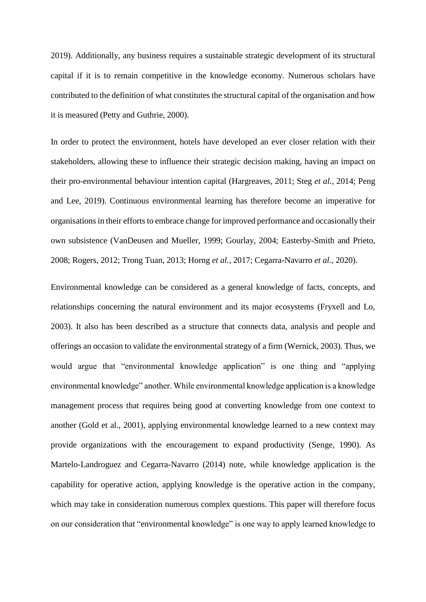2019). Additionally, any business requires a sustainable strategic development of its structural capital if it is to remain competitive in the knowledge economy. Numerous scholars have contributed to the definition of what constitutes the structural capital of the organisation and how it is measured (Petty and Guthrie, 2000).

In order to protect the environment, hotels have developed an ever closer relation with their stakeholders, allowing these to influence their strategic decision making, having an impact on their pro-environmental behaviour intention capital (Hargreaves, 2011; Steg *et al.*, 2014; Peng and Lee, 2019). Continuous environmental learning has therefore become an imperative for organisations in their efforts to embrace change for improved performance and occasionally their own subsistence (VanDeusen and Mueller, 1999; Gourlay, 2004; Easterby-Smith and Prieto, 2008; Rogers, 2012; Trong Tuan, 2013; Horng *et al.*, 2017; Cegarra-Navarro *et al.*, 2020).

Environmental knowledge can be considered as a general knowledge of facts, concepts, and relationships concerning the natural environment and its major ecosystems (Fryxell and Lo, 2003). It also has been described as a structure that connects data, analysis and people and offerings an occasion to validate the environmental strategy of a firm (Wernick, 2003). Thus, we would argue that "environmental knowledge application" is one thing and "applying environmental knowledge" another. While environmental knowledge application is a knowledge management process that requires being good at converting knowledge from one context to another (Gold et al., 2001), applying environmental knowledge learned to a new context may provide organizations with the encouragement to expand productivity (Senge, 1990). As Martelo-Landroguez and Cegarra-Navarro (2014) note, while knowledge application is the capability for operative action, applying knowledge is the operative action in the company, which may take in consideration numerous complex questions. This paper will therefore focus on our consideration that "environmental knowledge" is one way to apply learned knowledge to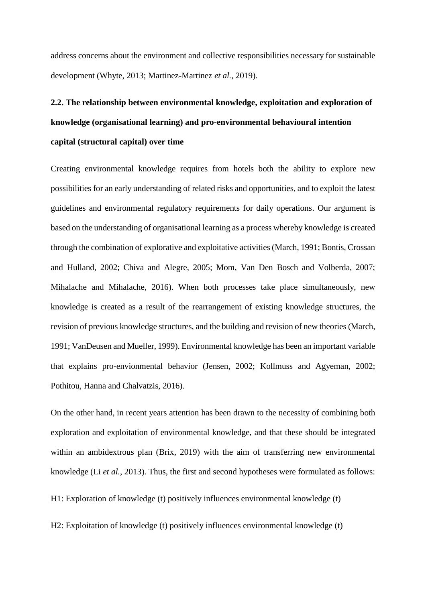address concerns about the environment and collective responsibilities necessary for sustainable development (Whyte, 2013; Martinez-Martinez *et al.*, 2019).

# **2.2. The relationship between environmental knowledge, exploitation and exploration of knowledge (organisational learning) and pro-environmental behavioural intention capital (structural capital) over time**

Creating environmental knowledge requires from hotels both the ability to explore new possibilities for an early understanding of related risks and opportunities, and to exploit the latest guidelines and environmental regulatory requirements for daily operations. Our argument is based on the understanding of organisational learning as a process whereby knowledge is created through the combination of explorative and exploitative activities (March, 1991; Bontis, Crossan and Hulland, 2002; Chiva and Alegre, 2005; Mom, Van Den Bosch and Volberda, 2007; Mihalache and Mihalache, 2016). When both processes take place simultaneously, new knowledge is created as a result of the rearrangement of existing knowledge structures, the revision of previous knowledge structures, and the building and revision of new theories (March, 1991; VanDeusen and Mueller, 1999). Environmental knowledge has been an important variable that explains pro-envionmental behavior (Jensen, 2002; Kollmuss and Agyeman, 2002; Pothitou, Hanna and Chalvatzis, 2016).

On the other hand, in recent years attention has been drawn to the necessity of combining both exploration and exploitation of environmental knowledge, and that these should be integrated within an ambidextrous plan (Brix, 2019) with the aim of transferring new environmental knowledge (Li *et al.*, 2013). Thus, the first and second hypotheses were formulated as follows:

H1: Exploration of knowledge (t) positively influences environmental knowledge (t)

H2: Exploitation of knowledge (t) positively influences environmental knowledge (t)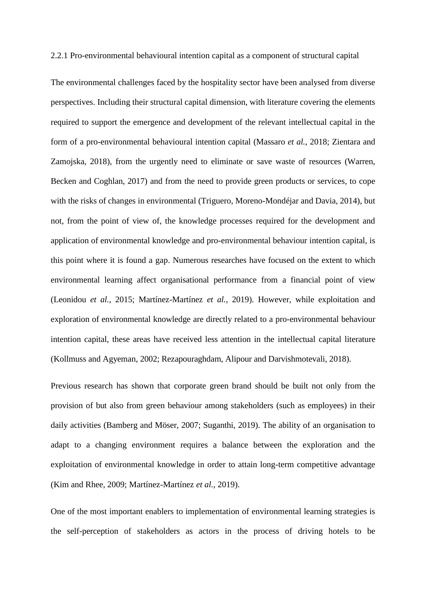2.2.1 Pro-environmental behavioural intention capital as a component of structural capital

The environmental challenges faced by the hospitality sector have been analysed from diverse perspectives. Including their structural capital dimension, with literature covering the elements required to support the emergence and development of the relevant intellectual capital in the form of a pro-environmental behavioural intention capital (Massaro *et al.*, 2018; Zientara and Zamojska, 2018), from the urgently need to eliminate or save waste of resources (Warren, Becken and Coghlan, 2017) and from the need to provide green products or services, to cope with the risks of changes in environmental (Triguero, Moreno-Mondéjar and Davia, 2014), but not, from the point of view of, the knowledge processes required for the development and application of environmental knowledge and pro-environmental behaviour intention capital, is this point where it is found a gap. Numerous researches have focused on the extent to which environmental learning affect organisational performance from a financial point of view (Leonidou *et al.*, 2015; Martínez-Martínez *et al.*, 2019). However, while exploitation and exploration of environmental knowledge are directly related to a pro-environmental behaviour intention capital, these areas have received less attention in the intellectual capital literature (Kollmuss and Agyeman, 2002; Rezapouraghdam, Alipour and Darvishmotevali, 2018).

Previous research has shown that corporate green brand should be built not only from the provision of but also from green behaviour among stakeholders (such as employees) in their daily activities (Bamberg and Möser, 2007; Suganthi, 2019). The ability of an organisation to adapt to a changing environment requires a balance between the exploration and the exploitation of environmental knowledge in order to attain long-term competitive advantage (Kim and Rhee, 2009; Martínez-Martínez *et al.*, 2019).

One of the most important enablers to implementation of environmental learning strategies is the self-perception of stakeholders as actors in the process of driving hotels to be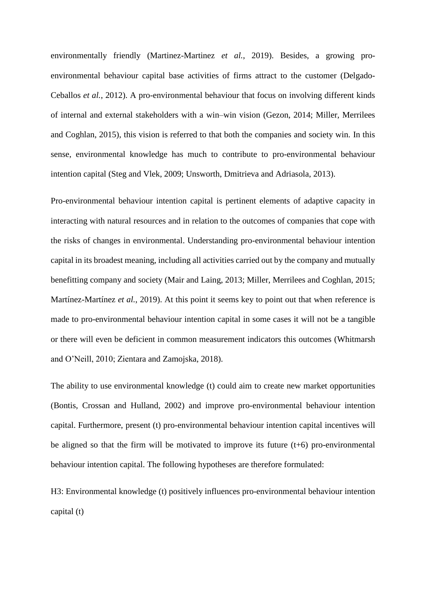environmentally friendly (Martinez-Martinez *et al.*, 2019). Besides, a growing proenvironmental behaviour capital base activities of firms attract to the customer (Delgado-Ceballos *et al.*, 2012). A pro-environmental behaviour that focus on involving different kinds of internal and external stakeholders with a win–win vision (Gezon, 2014; Miller, Merrilees and Coghlan, 2015), this vision is referred to that both the companies and society win. In this sense, environmental knowledge has much to contribute to pro-environmental behaviour intention capital (Steg and Vlek, 2009; Unsworth, Dmitrieva and Adriasola, 2013).

Pro-environmental behaviour intention capital is pertinent elements of adaptive capacity in interacting with natural resources and in relation to the outcomes of companies that cope with the risks of changes in environmental. Understanding pro-environmental behaviour intention capital in its broadest meaning, including all activities carried out by the company and mutually benefitting company and society (Mair and Laing, 2013; Miller, Merrilees and Coghlan, 2015; Martínez-Martínez *et al.*, 2019). At this point it seems key to point out that when reference is made to pro-environmental behaviour intention capital in some cases it will not be a tangible or there will even be deficient in common measurement indicators this outcomes (Whitmarsh and O'Neill, 2010; Zientara and Zamojska, 2018).

The ability to use environmental knowledge (t) could aim to create new market opportunities (Bontis, Crossan and Hulland, 2002) and improve pro-environmental behaviour intention capital. Furthermore, present (t) pro-environmental behaviour intention capital incentives will be aligned so that the firm will be motivated to improve its future  $(t+6)$  pro-environmental behaviour intention capital. The following hypotheses are therefore formulated:

H3: Environmental knowledge (t) positively influences pro-environmental behaviour intention capital (t)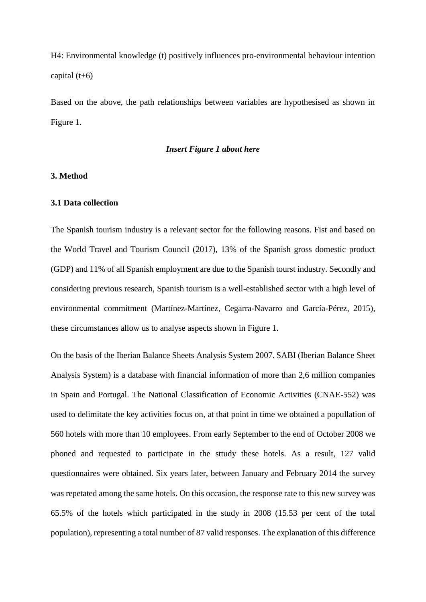H4: Environmental knowledge (t) positively influences pro-environmental behaviour intention capital  $(t+6)$ 

Based on the above, the path relationships between variables are hypothesised as shown in Figure 1.

#### *Insert Figure 1 about here*

#### **3. Method**

#### **3.1 Data collection**

The Spanish tourism industry is a relevant sector for the following reasons. Fist and based on the World Travel and Tourism Council (2017), 13% of the Spanish gross domestic product (GDP) and 11% of all Spanish employment are due to the Spanish tourst industry. Secondly and considering previous research, Spanish tourism is a well-established sector with a high level of environmental commitment (Martínez-Martínez, Cegarra-Navarro and García-Pérez, 2015), these circumstances allow us to analyse aspects shown in Figure 1.

On the basis of the Iberian Balance Sheets Analysis System 2007. SABI (Iberian Balance Sheet Analysis System) is a database with financial information of more than 2,6 million companies in Spain and Portugal. The National Classification of Economic Activities (CNAE-552) was used to delimitate the key activities focus on, at that point in time we obtained a popullation of 560 hotels with more than 10 employees. From early September to the end of October 2008 we phoned and requested to participate in the sttudy these hotels. As a result, 127 valid questionnaires were obtained. Six years later, between January and February 2014 the survey was repetated among the same hotels. On this occasion, the response rate to this new survey was 65.5% of the hotels which participated in the study in 2008 (15.53 per cent of the total population), representing a total number of 87 valid responses. The explanation of this difference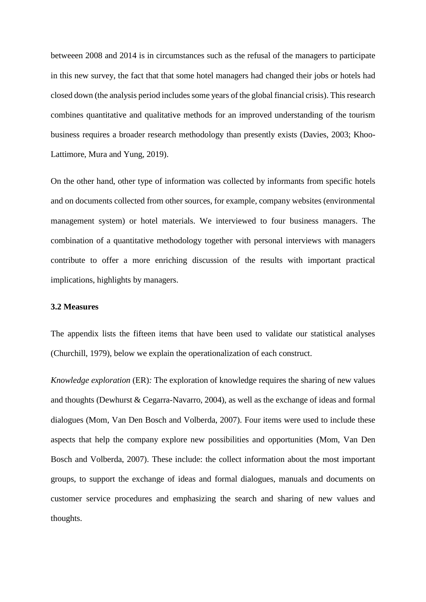betweeen 2008 and 2014 is in circumstances such as the refusal of the managers to participate in this new survey, the fact that that some hotel managers had changed their jobs or hotels had closed down (the analysis period includes some years of the global financial crisis). This research combines quantitative and qualitative methods for an improved understanding of the tourism business requires a broader research methodology than presently exists (Davies, 2003; Khoo-Lattimore, Mura and Yung, 2019).

On the other hand, other type of information was collected by informants from specific hotels and on documents collected from other sources, for example, company websites (environmental management system) or hotel materials. We interviewed to four business managers. The combination of a quantitative methodology together with personal interviews with managers contribute to offer a more enriching discussion of the results with important practical implications, highlights by managers.

#### **3.2 Measures**

The appendix lists the fifteen items that have been used to validate our statistical analyses (Churchill, 1979), below we explain the operationalization of each construct.

*Knowledge exploration* (ER): The exploration of knowledge requires the sharing of new values and thoughts (Dewhurst & Cegarra-Navarro, 2004), as well as the exchange of ideas and formal dialogues (Mom, Van Den Bosch and Volberda, 2007). Four items were used to include these aspects that help the company explore new possibilities and opportunities (Mom, Van Den Bosch and Volberda, 2007). These include: the collect information about the most important groups, to support the exchange of ideas and formal dialogues, manuals and documents on customer service procedures and emphasizing the search and sharing of new values and thoughts.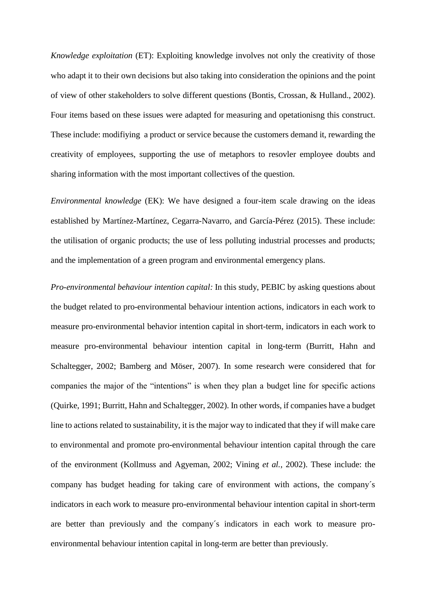*Knowledge exploitation* (ET): Exploiting knowledge involves not only the creativity of those who adapt it to their own decisions but also taking into consideration the opinions and the point of view of other stakeholders to solve different questions (Bontis, Crossan, & Hulland., 2002). Four items based on these issues were adapted for measuring and opetationisng this construct. These include: modifiying a product or service because the customers demand it, rewarding the creativity of employees, supporting the use of metaphors to resovler employee doubts and sharing information with the most important collectives of the question.

*Environmental knowledge* (EK): We have designed a four-item scale drawing on the ideas established by Martínez-Martínez, Cegarra-Navarro, and García-Pérez (2015). These include: the utilisation of organic products; the use of less polluting industrial processes and products; and the implementation of a green program and environmental emergency plans.

*Pro-environmental behaviour intention capital:* In this study, PEBIC by asking questions about the budget related to pro-environmental behaviour intention actions, indicators in each work to measure pro-environmental behavior intention capital in short-term, indicators in each work to measure pro-environmental behaviour intention capital in long-term (Burritt, Hahn and Schaltegger, 2002; Bamberg and Möser, 2007). In some research were considered that for companies the major of the "intentions" is when they plan a budget line for specific actions (Quirke, 1991; Burritt, Hahn and Schaltegger, 2002). In other words, if companies have a budget line to actions related to sustainability, it is the major way to indicated that they if will make care to environmental and promote pro-environmental behaviour intention capital through the care of the environment (Kollmuss and Agyeman, 2002; Vining *et al.*, 2002). These include: the company has budget heading for taking care of environment with actions, the company´s indicators in each work to measure pro-environmental behaviour intention capital in short-term are better than previously and the company´s indicators in each work to measure proenvironmental behaviour intention capital in long-term are better than previously.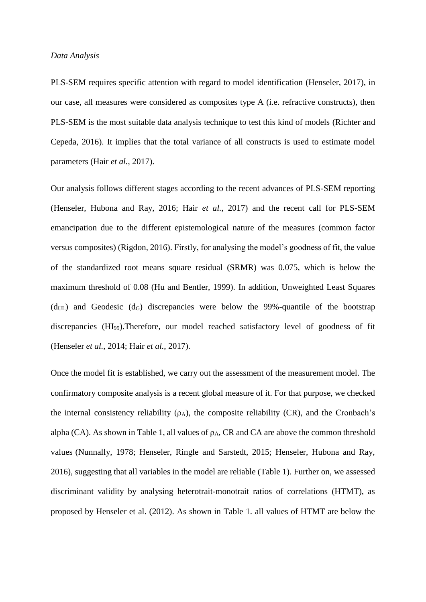#### *Data Analysis*

PLS-SEM requires specific attention with regard to model identification (Henseler, 2017), in our case, all measures were considered as composites type A (i.e. refractive constructs), then PLS-SEM is the most suitable data analysis technique to test this kind of models (Richter and Cepeda, 2016). It implies that the total variance of all constructs is used to estimate model parameters (Hair *et al.*, 2017).

Our analysis follows different stages according to the recent advances of PLS-SEM reporting (Henseler, Hubona and Ray, 2016; Hair *et al.*, 2017) and the recent call for PLS-SEM emancipation due to the different epistemological nature of the measures (common factor versus composites) (Rigdon, 2016). Firstly, for analysing the model's goodness of fit, the value of the standardized root means square residual (SRMR) was 0.075, which is below the maximum threshold of 0.08 (Hu and Bentler, 1999). In addition, Unweighted Least Squares  $(d<sub>UL</sub>)$  and Geodesic  $(d<sub>G</sub>)$  discrepancies were below the 99%-quantile of the bootstrap discrepancies (HI99).Therefore, our model reached satisfactory level of goodness of fit (Henseler *et al.*, 2014; Hair *et al.*, 2017).

Once the model fit is established, we carry out the assessment of the measurement model. The confirmatory composite analysis is a recent global measure of it. For that purpose, we checked the internal consistency reliability  $(\rho_A)$ , the composite reliability (CR), and the Cronbach's alpha (CA). As shown in Table 1, all values of  $\rho_A$ , CR and CA are above the common threshold values (Nunnally, 1978; Henseler, Ringle and Sarstedt, 2015; Henseler, Hubona and Ray, 2016), suggesting that all variables in the model are reliable (Table 1). Further on, we assessed discriminant validity by analysing heterotrait-monotrait ratios of correlations (HTMT), as proposed by Henseler et al. (2012). As shown in Table 1. all values of HTMT are below the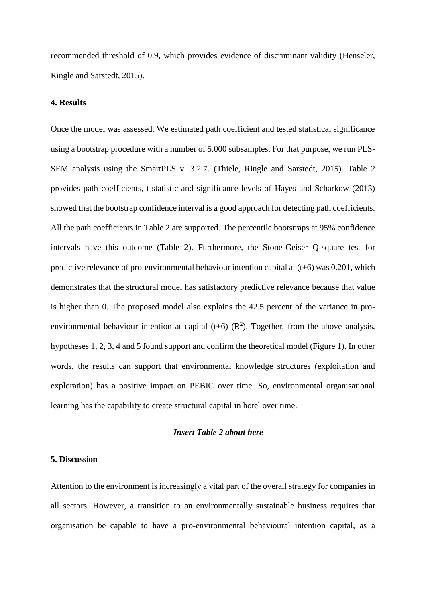recommended threshold of 0.9, which provides evidence of discriminant validity (Henseler, Ringle and Sarstedt, 2015).

#### **4. Results**

Once the model was assessed. We estimated path coefficient and tested statistical significance using a bootstrap procedure with a number of 5.000 subsamples. For that purpose, we run PLS-SEM analysis using the SmartPLS v. 3.2.7. (Thiele, Ringle and Sarstedt, 2015). Table 2 provides path coefficients, t-statistic and significance levels of Hayes and Scharkow (2013) showed that the bootstrap confidence interval is a good approach for detecting path coefficients. All the path coefficients in Table 2 are supported. The percentile bootstraps at 95% confidence intervals have this outcome (Table 2). Furthermore, the Stone-Geiser Q-square test for predictive relevance of pro-environmental behaviour intention capital at (t+6) was 0.201, which demonstrates that the structural model has satisfactory predictive relevance because that value is higher than 0. The proposed model also explains the 42.5 percent of the variance in proenvironmental behaviour intention at capital (t+6)  $(R^2)$ . Together, from the above analysis, hypotheses 1, 2, 3, 4 and 5 found support and confirm the theoretical model (Figure 1). In other words, the results can support that environmental knowledge structures (exploitation and exploration) has a positive impact on PEBIC over time. So, environmental organisational learning has the capability to create structural capital in hotel over time.

#### *Insert Table 2 about here*

#### **5. Discussion**

Attention to the environment is increasingly a vital part of the overall strategy for companies in all sectors. However, a transition to an environmentally sustainable business requires that organisation be capable to have a pro-environmental behavioural intention capital, as a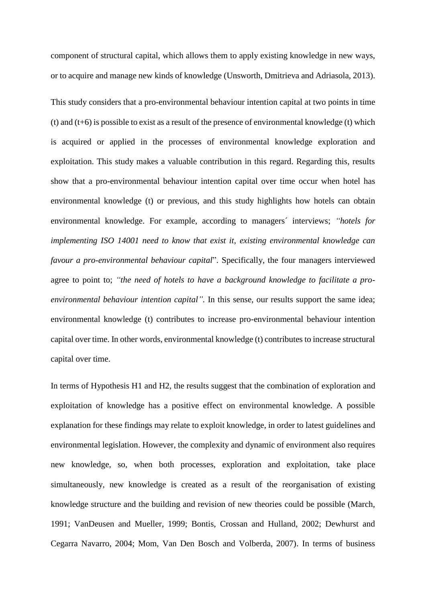component of structural capital, which allows them to apply existing knowledge in new ways, or to acquire and manage new kinds of knowledge (Unsworth, Dmitrieva and Adriasola, 2013).

This study considers that a pro-environmental behaviour intention capital at two points in time (t) and (t+6) is possible to exist as a result of the presence of environmental knowledge (t) which is acquired or applied in the processes of environmental knowledge exploration and exploitation. This study makes a valuable contribution in this regard. Regarding this, results show that a pro-environmental behaviour intention capital over time occur when hotel has environmental knowledge (t) or previous, and this study highlights how hotels can obtain environmental knowledge. For example, according to managers´ interviews; *"hotels for implementing ISO 14001 need to know that exist it, existing environmental knowledge can favour a pro-environmental behaviour capital*". Specifically, the four managers interviewed agree to point to; *"the need of hotels to have a background knowledge to facilitate a proenvironmental behaviour intention capital".* In this sense, our results support the same idea; environmental knowledge (t) contributes to increase pro-environmental behaviour intention capital over time. In other words, environmental knowledge (t) contributes to increase structural capital over time.

In terms of Hypothesis H1 and H2, the results suggest that the combination of exploration and exploitation of knowledge has a positive effect on environmental knowledge. A possible explanation for these findings may relate to exploit knowledge, in order to latest guidelines and environmental legislation. However, the complexity and dynamic of environment also requires new knowledge, so, when both processes, exploration and exploitation, take place simultaneously, new knowledge is created as a result of the reorganisation of existing knowledge structure and the building and revision of new theories could be possible (March, 1991; VanDeusen and Mueller, 1999; Bontis, Crossan and Hulland, 2002; Dewhurst and Cegarra Navarro, 2004; Mom, Van Den Bosch and Volberda, 2007). In terms of business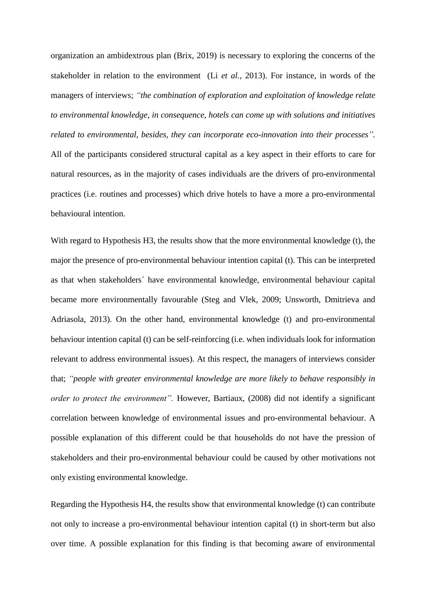organization an ambidextrous plan (Brix, 2019) is necessary to exploring the concerns of the stakeholder in relation to the environment (Li *et al.*, 2013). For instance, in words of the managers of interviews; *"the combination of exploration and exploitation of knowledge relate to environmental knowledge, in consequence, hotels can come up with solutions and initiatives related to environmental, besides, they can incorporate eco-innovation into their processes".* All of the participants considered structural capital as a key aspect in their efforts to care for natural resources, as in the majority of cases individuals are the drivers of pro-environmental practices (i.e. routines and processes) which drive hotels to have a more a pro-environmental behavioural intention.

With regard to Hypothesis H3, the results show that the more environmental knowledge (t), the major the presence of pro-environmental behaviour intention capital (t). This can be interpreted as that when stakeholders´ have environmental knowledge, environmental behaviour capital became more environmentally favourable (Steg and Vlek, 2009; Unsworth, Dmitrieva and Adriasola, 2013). On the other hand, environmental knowledge (t) and pro-environmental behaviour intention capital (t) can be self-reinforcing (i.e. when individuals look for information relevant to address environmental issues). At this respect, the managers of interviews consider that; *"people with greater environmental knowledge are more likely to behave responsibly in order to protect the environment".* However, Bartiaux, (2008) did not identify a significant correlation between knowledge of environmental issues and pro-environmental behaviour. A possible explanation of this different could be that households do not have the pression of stakeholders and their pro-environmental behaviour could be caused by other motivations not only existing environmental knowledge.

Regarding the Hypothesis H4, the results show that environmental knowledge (t) can contribute not only to increase a pro-environmental behaviour intention capital (t) in short-term but also over time. A possible explanation for this finding is that becoming aware of environmental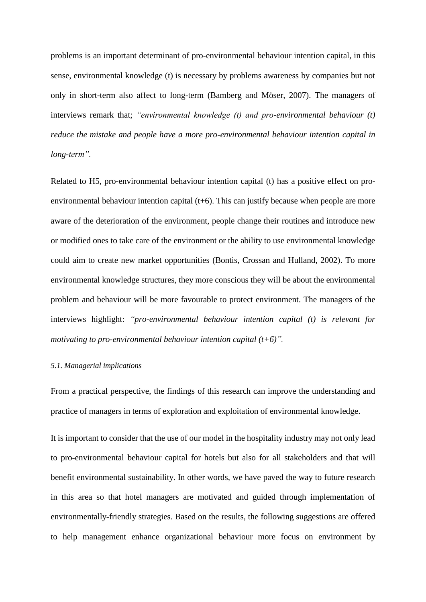problems is an important determinant of pro-environmental behaviour intention capital, in this sense, environmental knowledge (t) is necessary by problems awareness by companies but not only in short-term also affect to long-term (Bamberg and Möser, 2007). The managers of interviews remark that; *"environmental knowledge (t) and pro-environmental behaviour (t) reduce the mistake and people have a more pro-environmental behaviour intention capital in long-term".*

Related to H5, pro-environmental behaviour intention capital (t) has a positive effect on proenvironmental behaviour intention capital (t+6). This can justify because when people are more aware of the deterioration of the environment, people change their routines and introduce new or modified ones to take care of the environment or the ability to use environmental knowledge could aim to create new market opportunities (Bontis, Crossan and Hulland, 2002). To more environmental knowledge structures, they more conscious they will be about the environmental problem and behaviour will be more favourable to protect environment. The managers of the interviews highlight: *"pro-environmental behaviour intention capital (t) is relevant for motivating to pro-environmental behaviour intention capital (t+6)".*

#### *5.1. Managerial implications*

From a practical perspective, the findings of this research can improve the understanding and practice of managers in terms of exploration and exploitation of environmental knowledge.

It is important to consider that the use of our model in the hospitality industry may not only lead to pro-environmental behaviour capital for hotels but also for all stakeholders and that will benefit environmental sustainability. In other words, we have paved the way to future research in this area so that hotel managers are motivated and guided through implementation of environmentally-friendly strategies. Based on the results, the following suggestions are offered to help management enhance organizational behaviour more focus on environment by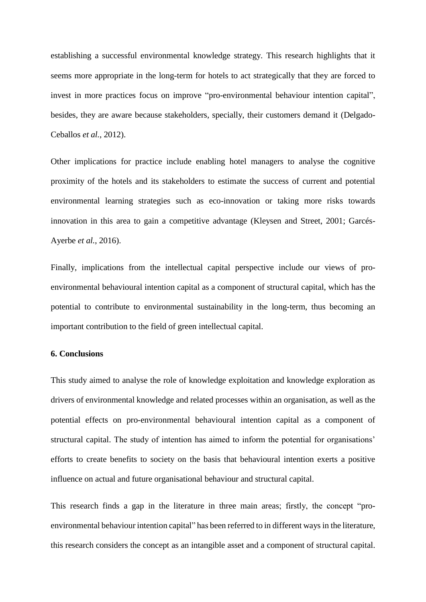establishing a successful environmental knowledge strategy. This research highlights that it seems more appropriate in the long-term for hotels to act strategically that they are forced to invest in more practices focus on improve "pro-environmental behaviour intention capital", besides, they are aware because stakeholders, specially, their customers demand it (Delgado-Ceballos *et al.*, 2012).

Other implications for practice include enabling hotel managers to analyse the cognitive proximity of the hotels and its stakeholders to estimate the success of current and potential environmental learning strategies such as eco-innovation or taking more risks towards innovation in this area to gain a competitive advantage (Kleysen and Street, 2001; Garcés-Ayerbe *et al.*, 2016).

Finally, implications from the intellectual capital perspective include our views of proenvironmental behavioural intention capital as a component of structural capital, which has the potential to contribute to environmental sustainability in the long-term, thus becoming an important contribution to the field of green intellectual capital.

#### **6. Conclusions**

This study aimed to analyse the role of knowledge exploitation and knowledge exploration as drivers of environmental knowledge and related processes within an organisation, as well as the potential effects on pro-environmental behavioural intention capital as a component of structural capital. The study of intention has aimed to inform the potential for organisations' efforts to create benefits to society on the basis that behavioural intention exerts a positive influence on actual and future organisational behaviour and structural capital.

This research finds a gap in the literature in three main areas; firstly, the concept "proenvironmental behaviour intention capital" has been referred to in different ways in the literature, this research considers the concept as an intangible asset and a component of structural capital.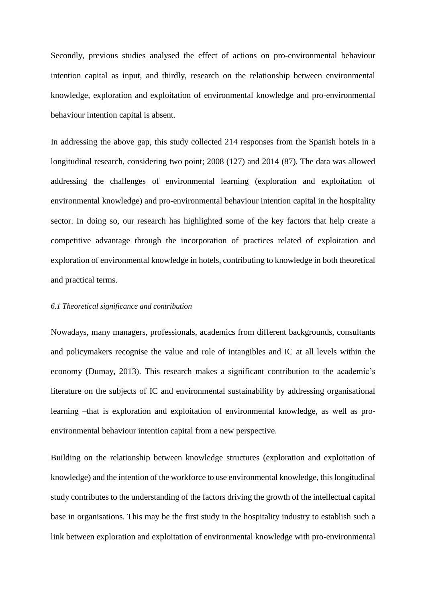Secondly, previous studies analysed the effect of actions on pro-environmental behaviour intention capital as input, and thirdly, research on the relationship between environmental knowledge, exploration and exploitation of environmental knowledge and pro-environmental behaviour intention capital is absent.

In addressing the above gap, this study collected 214 responses from the Spanish hotels in a longitudinal research, considering two point; 2008 (127) and 2014 (87). The data was allowed addressing the challenges of environmental learning (exploration and exploitation of environmental knowledge) and pro-environmental behaviour intention capital in the hospitality sector. In doing so, our research has highlighted some of the key factors that help create a competitive advantage through the incorporation of practices related of exploitation and exploration of environmental knowledge in hotels, contributing to knowledge in both theoretical and practical terms.

#### *6.1 Theoretical significance and contribution*

Nowadays, many managers, professionals, academics from different backgrounds, consultants and policymakers recognise the value and role of intangibles and IC at all levels within the economy (Dumay, 2013). This research makes a significant contribution to the academic's literature on the subjects of IC and environmental sustainability by addressing organisational learning –that is exploration and exploitation of environmental knowledge, as well as proenvironmental behaviour intention capital from a new perspective.

Building on the relationship between knowledge structures (exploration and exploitation of knowledge) and the intention of the workforce to use environmental knowledge, this longitudinal study contributes to the understanding of the factors driving the growth of the intellectual capital base in organisations. This may be the first study in the hospitality industry to establish such a link between exploration and exploitation of environmental knowledge with pro-environmental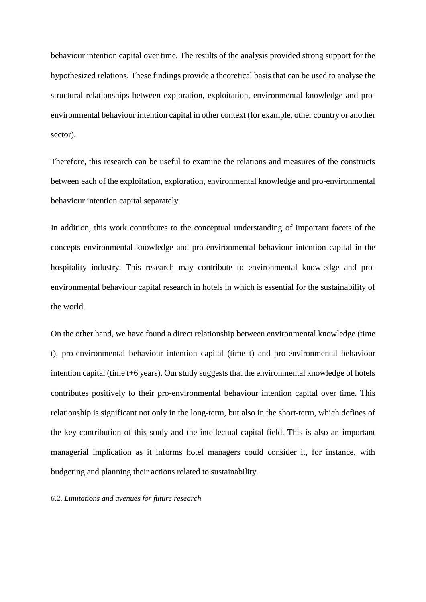behaviour intention capital over time. The results of the analysis provided strong support for the hypothesized relations. These findings provide a theoretical basis that can be used to analyse the structural relationships between exploration, exploitation, environmental knowledge and proenvironmental behaviour intention capital in other context (for example, other country or another sector).

Therefore, this research can be useful to examine the relations and measures of the constructs between each of the exploitation, exploration, environmental knowledge and pro-environmental behaviour intention capital separately.

In addition, this work contributes to the conceptual understanding of important facets of the concepts environmental knowledge and pro-environmental behaviour intention capital in the hospitality industry. This research may contribute to environmental knowledge and proenvironmental behaviour capital research in hotels in which is essential for the sustainability of the world.

On the other hand, we have found a direct relationship between environmental knowledge (time t), pro-environmental behaviour intention capital (time t) and pro-environmental behaviour intention capital (time t+6 years). Our study suggests that the environmental knowledge of hotels contributes positively to their pro-environmental behaviour intention capital over time. This relationship is significant not only in the long-term, but also in the short-term, which defines of the key contribution of this study and the intellectual capital field. This is also an important managerial implication as it informs hotel managers could consider it, for instance, with budgeting and planning their actions related to sustainability.

*6.2. Limitations and avenues for future research*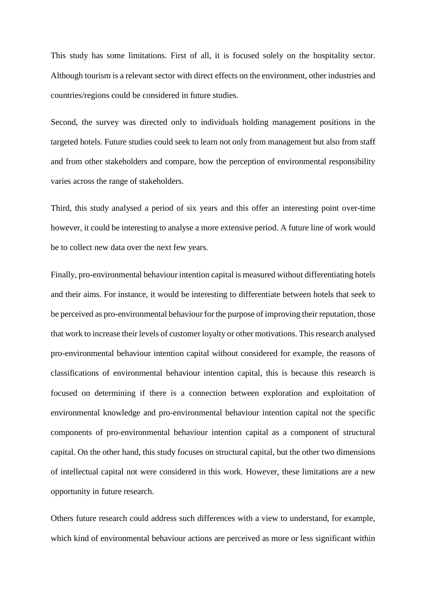This study has some limitations. First of all, it is focused solely on the hospitality sector. Although tourism is a relevant sector with direct effects on the environment, other industries and countries/regions could be considered in future studies.

Second, the survey was directed only to individuals holding management positions in the targeted hotels. Future studies could seek to learn not only from management but also from staff and from other stakeholders and compare, how the perception of environmental responsibility varies across the range of stakeholders.

Third, this study analysed a period of six years and this offer an interesting point over-time however, it could be interesting to analyse a more extensive period. A future line of work would be to collect new data over the next few years.

Finally, pro-environmental behaviour intention capital is measured without differentiating hotels and their aims. For instance, it would be interesting to differentiate between hotels that seek to be perceived as pro-environmental behaviour for the purpose of improving their reputation, those that work to increase their levels of customer loyalty or other motivations. This research analysed pro-environmental behaviour intention capital without considered for example, the reasons of classifications of environmental behaviour intention capital, this is because this research is focused on determining if there is a connection between exploration and exploitation of environmental knowledge and pro-environmental behaviour intention capital not the specific components of pro-environmental behaviour intention capital as a component of structural capital. On the other hand, this study focuses on structural capital, but the other two dimensions of intellectual capital not were considered in this work. However, these limitations are a new opportunity in future research.

Others future research could address such differences with a view to understand, for example, which kind of environmental behaviour actions are perceived as more or less significant within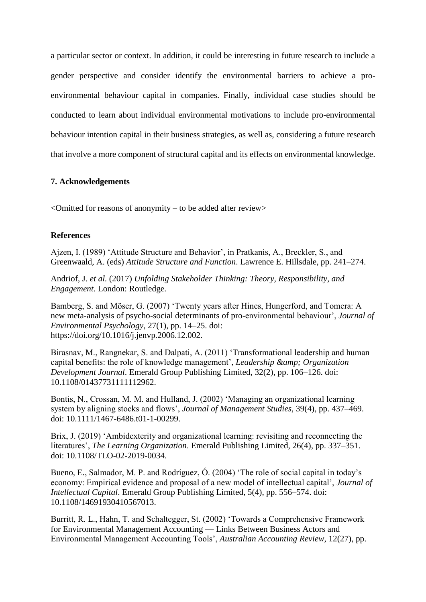a particular sector or context. In addition, it could be interesting in future research to include a gender perspective and consider identify the environmental barriers to achieve a proenvironmental behaviour capital in companies. Finally, individual case studies should be conducted to learn about individual environmental motivations to include pro-environmental behaviour intention capital in their business strategies, as well as, considering a future research that involve a more component of structural capital and its effects on environmental knowledge.

#### **7. Acknowledgements**

 $\leq$ Omitted for reasons of anonymity – to be added after review $>$ 

#### **References**

Ajzen, I. (1989) 'Attitude Structure and Behavior', in Pratkanis, A., Breckler, S., and Greenwaald, A. (eds) *Attitude Structure and Function*. Lawrence E. Hillsdale, pp. 241–274.

Andriof, J. *et al.* (2017) *Unfolding Stakeholder Thinking: Theory, Responsibility, and Engagement*. London: Routledge.

Bamberg, S. and Möser, G. (2007) 'Twenty years after Hines, Hungerford, and Tomera: A new meta-analysis of psycho-social determinants of pro-environmental behaviour', *Journal of Environmental Psychology*, 27(1), pp. 14–25. doi: https://doi.org/10.1016/j.jenvp.2006.12.002.

Birasnav, M., Rangnekar, S. and Dalpati, A. (2011) 'Transformational leadership and human capital benefits: the role of knowledge management', *Leadership & amp*; *Organization Development Journal*. Emerald Group Publishing Limited, 32(2), pp. 106–126. doi: 10.1108/01437731111112962.

Bontis, N., Crossan, M. M. and Hulland, J. (2002) 'Managing an organizational learning system by aligning stocks and flows', *Journal of Management Studies*, 39(4), pp. 437–469. doi: 10.1111/1467-6486.t01-1-00299.

Brix, J. (2019) 'Ambidexterity and organizational learning: revisiting and reconnecting the literatures', *The Learning Organization*. Emerald Publishing Limited, 26(4), pp. 337–351. doi: 10.1108/TLO-02-2019-0034.

Bueno, E., Salmador, M. P. and Rodríguez, Ó. (2004) 'The role of social capital in today's economy: Empirical evidence and proposal of a new model of intellectual capital', *Journal of Intellectual Capital*. Emerald Group Publishing Limited, 5(4), pp. 556–574. doi: 10.1108/14691930410567013.

Burritt, R. L., Hahn, T. and Schaltegger, St. (2002) 'Towards a Comprehensive Framework for Environmental Management Accounting — Links Between Business Actors and Environmental Management Accounting Tools', *Australian Accounting Review*, 12(27), pp.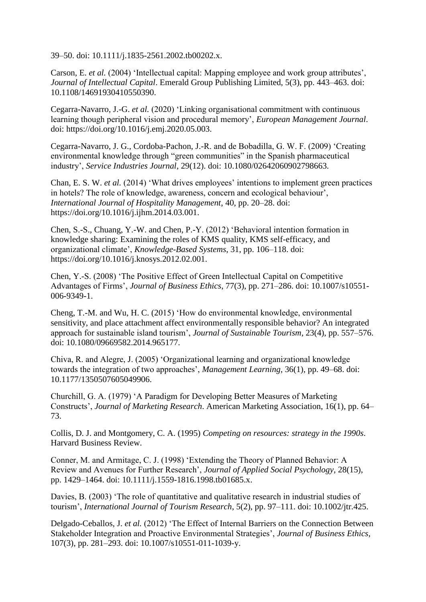39–50. doi: 10.1111/j.1835-2561.2002.tb00202.x.

Carson, E. *et al.* (2004) 'Intellectual capital: Mapping employee and work group attributes', *Journal of Intellectual Capital*. Emerald Group Publishing Limited, 5(3), pp. 443–463. doi: 10.1108/14691930410550390.

Cegarra-Navarro, J.-G. *et al.* (2020) 'Linking organisational commitment with continuous learning though peripheral vision and procedural memory', *European Management Journal*. doi: https://doi.org/10.1016/j.emj.2020.05.003.

Cegarra-Navarro, J. G., Cordoba-Pachon, J.-R. and de Bobadilla, G. W. F. (2009) 'Creating environmental knowledge through "green communities" in the Spanish pharmaceutical industry', *Service Industries Journal*, 29(12). doi: 10.1080/02642060902798663.

Chan, E. S. W. *et al.* (2014) 'What drives employees' intentions to implement green practices in hotels? The role of knowledge, awareness, concern and ecological behaviour', *International Journal of Hospitality Management*, 40, pp. 20–28. doi: https://doi.org/10.1016/j.ijhm.2014.03.001.

Chen, S.-S., Chuang, Y.-W. and Chen, P.-Y. (2012) 'Behavioral intention formation in knowledge sharing: Examining the roles of KMS quality, KMS self-efficacy, and organizational climate', *Knowledge-Based Systems*, 31, pp. 106–118. doi: https://doi.org/10.1016/j.knosys.2012.02.001.

Chen, Y.-S. (2008) 'The Positive Effect of Green Intellectual Capital on Competitive Advantages of Firms', *Journal of Business Ethics*, 77(3), pp. 271–286. doi: 10.1007/s10551- 006-9349-1.

Cheng, T.-M. and Wu, H. C. (2015) 'How do environmental knowledge, environmental sensitivity, and place attachment affect environmentally responsible behavior? An integrated approach for sustainable island tourism', *Journal of Sustainable Tourism*, 23(4), pp. 557–576. doi: 10.1080/09669582.2014.965177.

Chiva, R. and Alegre, J. (2005) 'Organizational learning and organizational knowledge towards the integration of two approaches', *Management Learning*, 36(1), pp. 49–68. doi: 10.1177/1350507605049906.

Churchill, G. A. (1979) 'A Paradigm for Developing Better Measures of Marketing Constructs', *Journal of Marketing Research*. American Marketing Association, 16(1), pp. 64– 73.

Collis, D. J. and Montgomery, C. A. (1995) *Competing on resources: strategy in the 1990s*. Harvard Business Review.

Conner, M. and Armitage, C. J. (1998) 'Extending the Theory of Planned Behavior: A Review and Avenues for Further Research', *Journal of Applied Social Psychology*, 28(15), pp. 1429–1464. doi: 10.1111/j.1559-1816.1998.tb01685.x.

Davies, B. (2003) 'The role of quantitative and qualitative research in industrial studies of tourism', *International Journal of Tourism Research*, 5(2), pp. 97–111. doi: 10.1002/jtr.425.

Delgado-Ceballos, J. *et al.* (2012) 'The Effect of Internal Barriers on the Connection Between Stakeholder Integration and Proactive Environmental Strategies', *Journal of Business Ethics*, 107(3), pp. 281–293. doi: 10.1007/s10551-011-1039-y.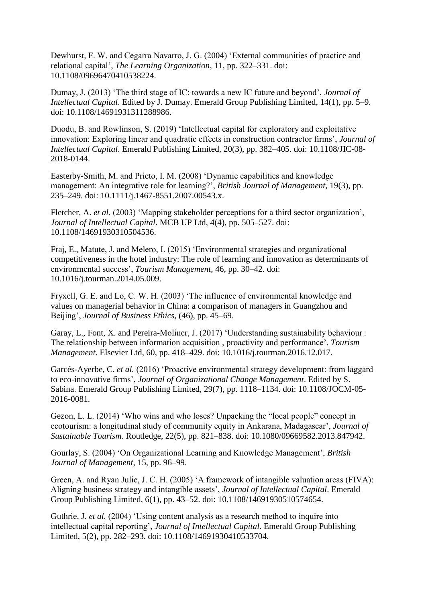Dewhurst, F. W. and Cegarra Navarro, J. G. (2004) 'External communities of practice and relational capital', *The Learning Organization*, 11, pp. 322–331. doi: 10.1108/09696470410538224.

Dumay, J. (2013) 'The third stage of IC: towards a new IC future and beyond', *Journal of Intellectual Capital*. Edited by J. Dumay. Emerald Group Publishing Limited, 14(1), pp. 5–9. doi: 10.1108/14691931311288986.

Duodu, B. and Rowlinson, S. (2019) 'Intellectual capital for exploratory and exploitative innovation: Exploring linear and quadratic effects in construction contractor firms', *Journal of Intellectual Capital*. Emerald Publishing Limited, 20(3), pp. 382–405. doi: 10.1108/JIC-08- 2018-0144.

Easterby-Smith, M. and Prieto, I. M. (2008) 'Dynamic capabilities and knowledge management: An integrative role for learning?', *British Journal of Management*, 19(3), pp. 235–249. doi: 10.1111/j.1467-8551.2007.00543.x.

Fletcher, A. *et al.* (2003) 'Mapping stakeholder perceptions for a third sector organization', *Journal of Intellectual Capital*. MCB UP Ltd, 4(4), pp. 505–527. doi: 10.1108/14691930310504536.

Fraj, E., Matute, J. and Melero, I. (2015) 'Environmental strategies and organizational competitiveness in the hotel industry: The role of learning and innovation as determinants of environmental success', *Tourism Management*, 46, pp. 30–42. doi: 10.1016/j.tourman.2014.05.009.

Fryxell, G. E. and Lo, C. W. H. (2003) 'The influence of environmental knowledge and values on managerial behavior in China: a comparison of managers in Guangzhou and Beijing', *Journal of Business Ethics*, (46), pp. 45–69.

Garay, L., Font, X. and Pereira-Moliner, J. (2017) 'Understanding sustainability behaviour : The relationship between information acquisition , proactivity and performance', *Tourism Management*. Elsevier Ltd, 60, pp. 418–429. doi: 10.1016/j.tourman.2016.12.017.

Garcés-Ayerbe, C. *et al.* (2016) 'Proactive environmental strategy development: from laggard to eco-innovative firms', *Journal of Organizational Change Management*. Edited by S. Sabina. Emerald Group Publishing Limited, 29(7), pp. 1118–1134. doi: 10.1108/JOCM-05- 2016-0081.

Gezon, L. L. (2014) 'Who wins and who loses? Unpacking the "local people" concept in ecotourism: a longitudinal study of community equity in Ankarana, Madagascar', *Journal of Sustainable Tourism*. Routledge, 22(5), pp. 821–838. doi: 10.1080/09669582.2013.847942.

Gourlay, S. (2004) 'On Organizational Learning and Knowledge Management', *British Journal of Management*, 15, pp. 96–99.

Green, A. and Ryan Julie, J. C. H. (2005) 'A framework of intangible valuation areas (FIVA): Aligning business strategy and intangible assets', *Journal of Intellectual Capital*. Emerald Group Publishing Limited, 6(1), pp. 43–52. doi: 10.1108/14691930510574654.

Guthrie, J. *et al.* (2004) 'Using content analysis as a research method to inquire into intellectual capital reporting', *Journal of Intellectual Capital*. Emerald Group Publishing Limited, 5(2), pp. 282–293. doi: 10.1108/14691930410533704.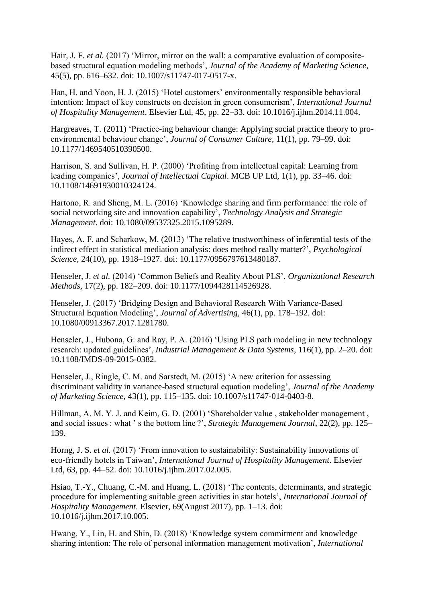Hair, J. F. *et al.* (2017) 'Mirror, mirror on the wall: a comparative evaluation of compositebased structural equation modeling methods', *Journal of the Academy of Marketing Science*, 45(5), pp. 616–632. doi: 10.1007/s11747-017-0517-x.

Han, H. and Yoon, H. J. (2015) 'Hotel customers' environmentally responsible behavioral intention: Impact of key constructs on decision in green consumerism', *International Journal of Hospitality Management*. Elsevier Ltd, 45, pp. 22–33. doi: 10.1016/j.ijhm.2014.11.004.

Hargreaves, T. (2011) 'Practice-ing behaviour change: Applying social practice theory to proenvironmental behaviour change', *Journal of Consumer Culture*, 11(1), pp. 79–99. doi: 10.1177/1469540510390500.

Harrison, S. and Sullivan, H. P. (2000) 'Profiting from intellectual capital: Learning from leading companies', *Journal of Intellectual Capital*. MCB UP Ltd, 1(1), pp. 33–46. doi: 10.1108/14691930010324124.

Hartono, R. and Sheng, M. L. (2016) 'Knowledge sharing and firm performance: the role of social networking site and innovation capability', *Technology Analysis and Strategic Management*. doi: 10.1080/09537325.2015.1095289.

Hayes, A. F. and Scharkow, M. (2013) 'The relative trustworthiness of inferential tests of the indirect effect in statistical mediation analysis: does method really matter?', *Psychological Science*, 24(10), pp. 1918–1927. doi: 10.1177/0956797613480187.

Henseler, J. *et al.* (2014) 'Common Beliefs and Reality About PLS', *Organizational Research Methods*, 17(2), pp. 182–209. doi: 10.1177/1094428114526928.

Henseler, J. (2017) 'Bridging Design and Behavioral Research With Variance-Based Structural Equation Modeling', *Journal of Advertising*, 46(1), pp. 178–192. doi: 10.1080/00913367.2017.1281780.

Henseler, J., Hubona, G. and Ray, P. A. (2016) 'Using PLS path modeling in new technology research: updated guidelines', *Industrial Management & Data Systems*, 116(1), pp. 2–20. doi: 10.1108/IMDS-09-2015-0382.

Henseler, J., Ringle, C. M. and Sarstedt, M. (2015) 'A new criterion for assessing discriminant validity in variance-based structural equation modeling', *Journal of the Academy of Marketing Science*, 43(1), pp. 115–135. doi: 10.1007/s11747-014-0403-8.

Hillman, A. M. Y. J. and Keim, G. D. (2001) 'Shareholder value , stakeholder management , and social issues : what ' s the bottom line ?', *Strategic Management Journal*, 22(2), pp. 125– 139.

Horng, J. S. *et al.* (2017) 'From innovation to sustainability: Sustainability innovations of eco-friendly hotels in Taiwan', *International Journal of Hospitality Management*. Elsevier Ltd, 63, pp. 44–52. doi: 10.1016/j.ijhm.2017.02.005.

Hsiao, T.-Y., Chuang, C.-M. and Huang, L. (2018) 'The contents, determinants, and strategic procedure for implementing suitable green activities in star hotels', *International Journal of Hospitality Management*. Elsevier, 69(August 2017), pp. 1–13. doi: 10.1016/j.ijhm.2017.10.005.

Hwang, Y., Lin, H. and Shin, D. (2018) 'Knowledge system commitment and knowledge sharing intention: The role of personal information management motivation', *International*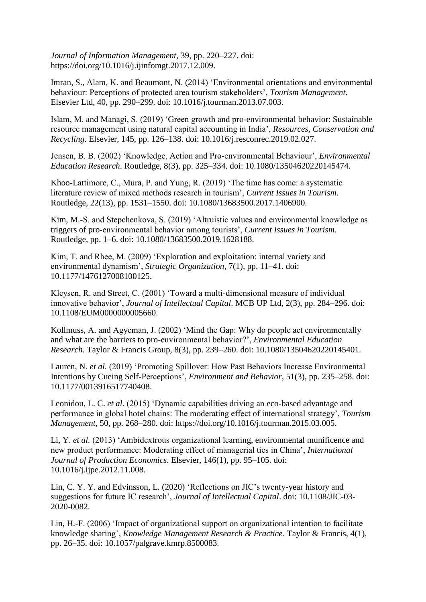*Journal of Information Management*, 39, pp. 220–227. doi: https://doi.org/10.1016/j.ijinfomgt.2017.12.009.

Imran, S., Alam, K. and Beaumont, N. (2014) 'Environmental orientations and environmental behaviour: Perceptions of protected area tourism stakeholders', *Tourism Management*. Elsevier Ltd, 40, pp. 290–299. doi: 10.1016/j.tourman.2013.07.003.

Islam, M. and Managi, S. (2019) 'Green growth and pro-environmental behavior: Sustainable resource management using natural capital accounting in India', *Resources, Conservation and Recycling*. Elsevier, 145, pp. 126–138. doi: 10.1016/j.resconrec.2019.02.027.

Jensen, B. B. (2002) 'Knowledge, Action and Pro-environmental Behaviour', *Environmental Education Research*. Routledge, 8(3), pp. 325–334. doi: 10.1080/13504620220145474.

Khoo-Lattimore, C., Mura, P. and Yung, R. (2019) 'The time has come: a systematic literature review of mixed methods research in tourism', *Current Issues in Tourism*. Routledge, 22(13), pp. 1531–1550. doi: 10.1080/13683500.2017.1406900.

Kim, M.-S. and Stepchenkova, S. (2019) 'Altruistic values and environmental knowledge as triggers of pro-environmental behavior among tourists', *Current Issues in Tourism*. Routledge, pp. 1–6. doi: 10.1080/13683500.2019.1628188.

Kim, T. and Rhee, M. (2009) 'Exploration and exploitation: internal variety and environmental dynamism', *Strategic Organization*, 7(1), pp. 11–41. doi: 10.1177/1476127008100125.

Kleysen, R. and Street, C. (2001) 'Toward a multi-dimensional measure of individual innovative behavior', *Journal of Intellectual Capital*. MCB UP Ltd, 2(3), pp. 284–296. doi: 10.1108/EUM0000000005660.

Kollmuss, A. and Agyeman, J. (2002) 'Mind the Gap: Why do people act environmentally and what are the barriers to pro-environmental behavior?', *Environmental Education Research*. Taylor & Francis Group, 8(3), pp. 239–260. doi: 10.1080/13504620220145401.

Lauren, N. *et al.* (2019) 'Promoting Spillover: How Past Behaviors Increase Environmental Intentions by Cueing Self-Perceptions', *Environment and Behavior*, 51(3), pp. 235–258. doi: 10.1177/0013916517740408.

Leonidou, L. C. *et al.* (2015) 'Dynamic capabilities driving an eco-based advantage and performance in global hotel chains: The moderating effect of international strategy', *Tourism Management*, 50, pp. 268–280. doi: https://doi.org/10.1016/j.tourman.2015.03.005.

Li, Y. *et al.* (2013) 'Ambidextrous organizational learning, environmental munificence and new product performance: Moderating effect of managerial ties in China', *International Journal of Production Economics*. Elsevier, 146(1), pp. 95–105. doi: 10.1016/j.ijpe.2012.11.008.

Lin, C. Y. Y. and Edvinsson, L. (2020) 'Reflections on JIC's twenty-year history and suggestions for future IC research', *Journal of Intellectual Capital*. doi: 10.1108/JIC-03- 2020-0082.

Lin, H.-F. (2006) 'Impact of organizational support on organizational intention to facilitate knowledge sharing', *Knowledge Management Research & Practice*. Taylor & Francis, 4(1), pp. 26–35. doi: 10.1057/palgrave.kmrp.8500083.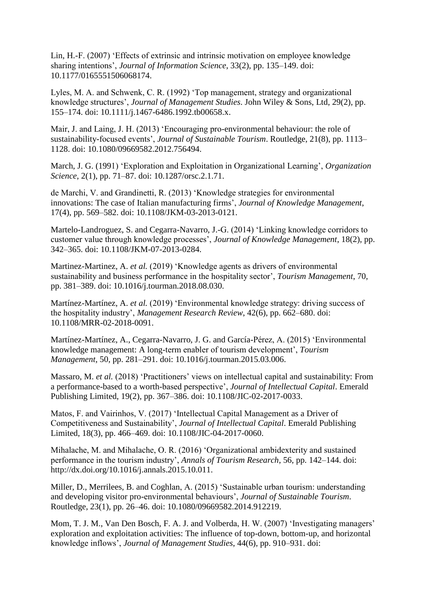Lin, H.-F. (2007) 'Effects of extrinsic and intrinsic motivation on employee knowledge sharing intentions', *Journal of Information Science*, 33(2), pp. 135–149. doi: 10.1177/0165551506068174.

Lyles, M. A. and Schwenk, C. R. (1992) 'Top management, strategy and organizational knowledge structures', *Journal of Management Studies*. John Wiley & Sons, Ltd, 29(2), pp. 155–174. doi: 10.1111/j.1467-6486.1992.tb00658.x.

Mair, J. and Laing, J. H. (2013) 'Encouraging pro-environmental behaviour: the role of sustainability-focused events', *Journal of Sustainable Tourism*. Routledge, 21(8), pp. 1113– 1128. doi: 10.1080/09669582.2012.756494.

March, J. G. (1991) 'Exploration and Exploitation in Organizational Learning', *Organization Science*, 2(1), pp. 71–87. doi: 10.1287/orsc.2.1.71.

de Marchi, V. and Grandinetti, R. (2013) 'Knowledge strategies for environmental innovations: The case of Italian manufacturing firms', *Journal of Knowledge Management*, 17(4), pp. 569–582. doi: 10.1108/JKM-03-2013-0121.

Martelo-Landroguez, S. and Cegarra-Navarro, J.-G. (2014) 'Linking knowledge corridors to customer value through knowledge processes', *Journal of Knowledge Management*, 18(2), pp. 342–365. doi: 10.1108/JKM-07-2013-0284.

Martinez-Martinez, A. *et al.* (2019) 'Knowledge agents as drivers of environmental sustainability and business performance in the hospitality sector', *Tourism Management*, 70, pp. 381–389. doi: 10.1016/j.tourman.2018.08.030.

Martínez-Martínez, A. *et al.* (2019) 'Environmental knowledge strategy: driving success of the hospitality industry', *Management Research Review*, 42(6), pp. 662–680. doi: 10.1108/MRR-02-2018-0091.

Martínez-Martínez, A., Cegarra-Navarro, J. G. and García-Pérez, A. (2015) 'Environmental knowledge management: A long-term enabler of tourism development', *Tourism Management*, 50, pp. 281–291. doi: 10.1016/j.tourman.2015.03.006.

Massaro, M. *et al.* (2018) 'Practitioners' views on intellectual capital and sustainability: From a performance-based to a worth-based perspective', *Journal of Intellectual Capital*. Emerald Publishing Limited, 19(2), pp. 367–386. doi: 10.1108/JIC-02-2017-0033.

Matos, F. and Vairinhos, V. (2017) 'Intellectual Capital Management as a Driver of Competitiveness and Sustainability', *Journal of Intellectual Capital*. Emerald Publishing Limited, 18(3), pp. 466–469. doi: 10.1108/JIC-04-2017-0060.

Mihalache, M. and Mihalache, O. R. (2016) 'Organizational ambidexterity and sustained performance in the tourism industry', *Annals of Tourism Research*, 56, pp. 142–144. doi: http://dx.doi.org/10.1016/j.annals.2015.10.011.

Miller, D., Merrilees, B. and Coghlan, A. (2015) 'Sustainable urban tourism: understanding and developing visitor pro-environmental behaviours', *Journal of Sustainable Tourism*. Routledge, 23(1), pp. 26–46. doi: 10.1080/09669582.2014.912219.

Mom, T. J. M., Van Den Bosch, F. A. J. and Volberda, H. W. (2007) 'Investigating managers' exploration and exploitation activities: The influence of top-down, bottom-up, and horizontal knowledge inflows', *Journal of Management Studies*, 44(6), pp. 910–931. doi: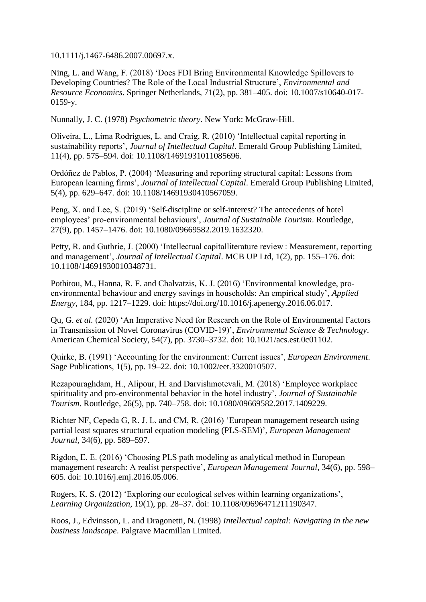10.1111/j.1467-6486.2007.00697.x.

Ning, L. and Wang, F. (2018) 'Does FDI Bring Environmental Knowledge Spillovers to Developing Countries? The Role of the Local Industrial Structure', *Environmental and Resource Economics*. Springer Netherlands, 71(2), pp. 381–405. doi: 10.1007/s10640-017- 0159-y.

Nunnally, J. C. (1978) *Psychometric theory*. New York: McGraw-Hill.

Oliveira, L., Lima Rodrigues, L. and Craig, R. (2010) 'Intellectual capital reporting in sustainability reports', *Journal of Intellectual Capital*. Emerald Group Publishing Limited, 11(4), pp. 575–594. doi: 10.1108/14691931011085696.

Ordóñez de Pablos, P. (2004) 'Measuring and reporting structural capital: Lessons from European learning firms', *Journal of Intellectual Capital*. Emerald Group Publishing Limited, 5(4), pp. 629–647. doi: 10.1108/14691930410567059.

Peng, X. and Lee, S. (2019) 'Self-discipline or self-interest? The antecedents of hotel employees' pro-environmental behaviours', *Journal of Sustainable Tourism*. Routledge, 27(9), pp. 1457–1476. doi: 10.1080/09669582.2019.1632320.

Petty, R. and Guthrie, J. (2000) 'Intellectual capitalliterature review : Measurement, reporting and management', *Journal of Intellectual Capital*. MCB UP Ltd, 1(2), pp. 155–176. doi: 10.1108/14691930010348731.

Pothitou, M., Hanna, R. F. and Chalvatzis, K. J. (2016) 'Environmental knowledge, proenvironmental behaviour and energy savings in households: An empirical study', *Applied Energy*, 184, pp. 1217–1229. doi: https://doi.org/10.1016/j.apenergy.2016.06.017.

Qu, G. *et al.* (2020) 'An Imperative Need for Research on the Role of Environmental Factors in Transmission of Novel Coronavirus (COVID-19)', *Environmental Science & Technology*. American Chemical Society, 54(7), pp. 3730–3732. doi: 10.1021/acs.est.0c01102.

Quirke, B. (1991) 'Accounting for the environment: Current issues', *European Environment*. Sage Publications, 1(5), pp. 19–22. doi: 10.1002/eet.3320010507.

Rezapouraghdam, H., Alipour, H. and Darvishmotevali, M. (2018) 'Employee workplace spirituality and pro-environmental behavior in the hotel industry', *Journal of Sustainable Tourism*. Routledge, 26(5), pp. 740–758. doi: 10.1080/09669582.2017.1409229.

Richter NF, Cepeda G, R. J. L. and CM, R. (2016) 'European management research using partial least squares structural equation modeling (PLS-SEM)', *European Management Journal*, 34(6), pp. 589–597.

Rigdon, E. E. (2016) 'Choosing PLS path modeling as analytical method in European management research: A realist perspective', *European Management Journal*, 34(6), pp. 598– 605. doi: 10.1016/j.emj.2016.05.006.

Rogers, K. S. (2012) 'Exploring our ecological selves within learning organizations', *Learning Organization*, 19(1), pp. 28–37. doi: 10.1108/09696471211190347.

Roos, J., Edvinsson, L. and Dragonetti, N. (1998) *Intellectual capital: Navigating in the new business landscape*. Palgrave Macmillan Limited.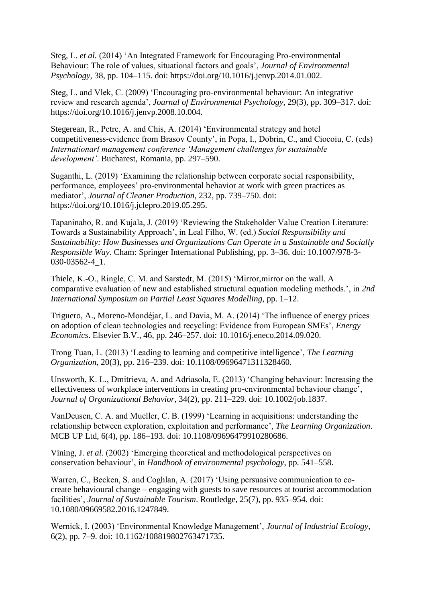Steg, L. *et al.* (2014) 'An Integrated Framework for Encouraging Pro-environmental Behaviour: The role of values, situational factors and goals', *Journal of Environmental Psychology*, 38, pp. 104–115. doi: https://doi.org/10.1016/j.jenvp.2014.01.002.

Steg, L. and Vlek, C. (2009) 'Encouraging pro-environmental behaviour: An integrative review and research agenda', *Journal of Environmental Psychology*, 29(3), pp. 309–317. doi: https://doi.org/10.1016/j.jenvp.2008.10.004.

Stegerean, R., Petre, A. and Chis, A. (2014) 'Environmental strategy and hotel competitiveness-evidence from Brasov County', in Popa, I., Dobrin, C., and Ciocoiu, C. (eds) *Internationarl management conference 'Management challenges for sustainable development'*. Bucharest, Romania, pp. 297–590.

Suganthi, L. (2019) 'Examining the relationship between corporate social responsibility, performance, employees' pro-environmental behavior at work with green practices as mediator', *Journal of Cleaner Production*, 232, pp. 739–750. doi: https://doi.org/10.1016/j.jclepro.2019.05.295.

Tapaninaho, R. and Kujala, J. (2019) 'Reviewing the Stakeholder Value Creation Literature: Towards a Sustainability Approach', in Leal Filho, W. (ed.) *Social Responsibility and Sustainability: How Businesses and Organizations Can Operate in a Sustainable and Socially Responsible Way*. Cham: Springer International Publishing, pp. 3–36. doi: 10.1007/978-3- 030-03562-4\_1.

Thiele, K.-O., Ringle, C. M. and Sarstedt, M. (2015) 'Mirror,mirror on the wall. A comparative evaluation of new and established structural equation modeling methods.', in *2nd International Symposium on Partial Least Squares Modelling*, pp. 1–12.

Triguero, A., Moreno-Mondéjar, L. and Davia, M. A. (2014) 'The influence of energy prices on adoption of clean technologies and recycling: Evidence from European SMEs', *Energy Economics*. Elsevier B.V., 46, pp. 246–257. doi: 10.1016/j.eneco.2014.09.020.

Trong Tuan, L. (2013) 'Leading to learning and competitive intelligence', *The Learning Organization*, 20(3), pp. 216–239. doi: 10.1108/09696471311328460.

Unsworth, K. L., Dmitrieva, A. and Adriasola, E. (2013) 'Changing behaviour: Increasing the effectiveness of workplace interventions in creating pro-environmental behaviour change', *Journal of Organizational Behavior*, 34(2), pp. 211–229. doi: 10.1002/job.1837.

VanDeusen, C. A. and Mueller, C. B. (1999) 'Learning in acquisitions: understanding the relationship between exploration, exploitation and performance', *The Learning Organization*. MCB UP Ltd, 6(4), pp. 186–193. doi: 10.1108/09696479910280686.

Vining, J. *et al.* (2002) 'Emerging theoretical and methodological perspectives on conservation behaviour', in *Handbook of environmental psychology*, pp. 541–558.

Warren, C., Becken, S. and Coghlan, A. (2017) 'Using persuasive communication to cocreate behavioural change – engaging with guests to save resources at tourist accommodation facilities', *Journal of Sustainable Tourism*. Routledge, 25(7), pp. 935–954. doi: 10.1080/09669582.2016.1247849.

Wernick, I. (2003) 'Environmental Knowledge Management', *Journal of Industrial Ecology*, 6(2), pp. 7–9. doi: 10.1162/108819802763471735.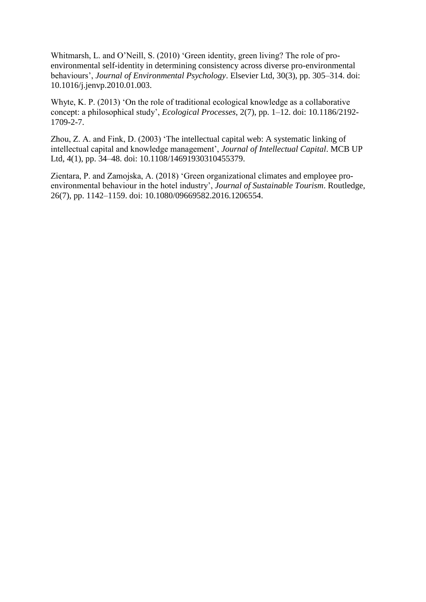Whitmarsh, L. and O'Neill, S. (2010) 'Green identity, green living? The role of proenvironmental self-identity in determining consistency across diverse pro-environmental behaviours', *Journal of Environmental Psychology*. Elsevier Ltd, 30(3), pp. 305–314. doi: 10.1016/j.jenvp.2010.01.003.

Whyte, K. P. (2013) 'On the role of traditional ecological knowledge as a collaborative concept: a philosophical study', *Ecological Processes*, 2(7), pp. 1–12. doi: 10.1186/2192- 1709-2-7.

Zhou, Z. A. and Fink, D. (2003) 'The intellectual capital web: A systematic linking of intellectual capital and knowledge management', *Journal of Intellectual Capital*. MCB UP Ltd, 4(1), pp. 34–48. doi: 10.1108/14691930310455379.

Zientara, P. and Zamojska, A. (2018) 'Green organizational climates and employee proenvironmental behaviour in the hotel industry', *Journal of Sustainable Tourism*. Routledge, 26(7), pp. 1142–1159. doi: 10.1080/09669582.2016.1206554.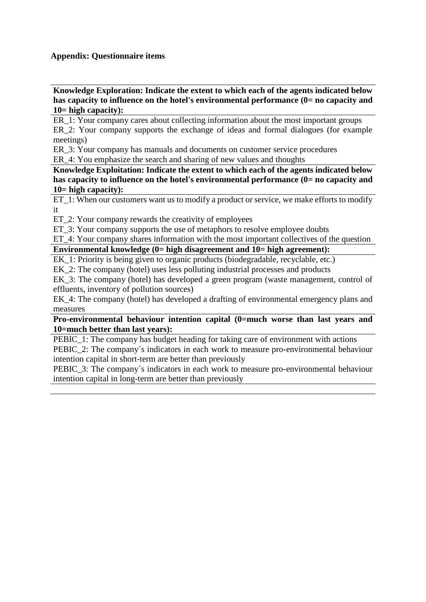## **Appendix: Questionnaire items**

**Knowledge Exploration: Indicate the extent to which each of the agents indicated below**  has capacity to influence on the hotel's environmental performance (0= no capacity and **10= high capacity):**

ER\_1: Your company cares about collecting information about the most important groups ER 2: Your company supports the exchange of ideas and formal dialogues (for example meetings)

ER\_3: Your company has manuals and documents on customer service procedures

ER\_4: You emphasize the search and sharing of new values and thoughts

**Knowledge Exploitation: Indicate the extent to which each of the agents indicated below**  has capacity to influence on the hotel's environmental performance (0= no capacity and **10= high capacity):**

ET 1: When our customers want us to modify a product or service, we make efforts to modify it

ET\_2: Your company rewards the creativity of employees

ET\_3: Your company supports the use of metaphors to resolve employee doubts

ET 4: Your company shares information with the most important collectives of the question

# **Environmental knowledge (0= high disagreement and 10= high agreement):**

EK 1: Priority is being given to organic products (biodegradable, recyclable, etc.)

EK\_2: The company (hotel) uses less polluting industrial processes and products

EK\_3: The company (hotel) has developed a green program (waste management, control of effluents, inventory of pollution sources)

EK\_4: The company (hotel) has developed a drafting of environmental emergency plans and measures

#### **Pro-environmental behaviour intention capital (0=much worse than last years and 10=much better than last years):**

PEBIC 1: The company has budget heading for taking care of environment with actions PEBIC 2: The company's indicators in each work to measure pro-environmental behaviour intention capital in short-term are better than previously

PEBIC 3: The company's indicators in each work to measure pro-environmental behaviour intention capital in long-term are better than previously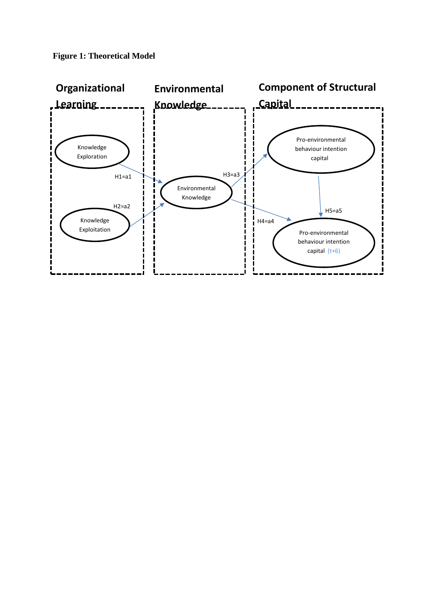

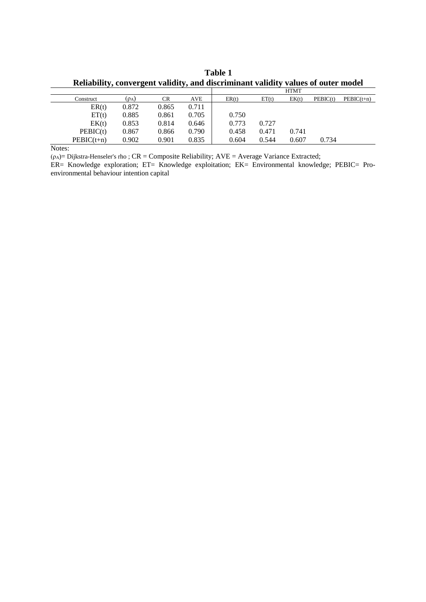|              |            |       |       | <b>HTMT</b> |       |       |          |              |
|--------------|------------|-------|-------|-------------|-------|-------|----------|--------------|
| Construct    | $(\rho_A)$ | CR    | AVE   | ER(t)       | ET(t) | EK(t) | PEBIC(t) | $PEBIC(t+n)$ |
| ER(t)        | 0.872      | 0.865 | 0.711 |             |       |       |          |              |
| ET(t)        | 0.885      | 0.861 | 0.705 | 0.750       |       |       |          |              |
| EK(t)        | 0.853      | 0.814 | 0.646 | 0.773       | 0.727 |       |          |              |
| PEBIC(t)     | 0.867      | 0.866 | 0.790 | 0.458       | 0.471 | 0.741 |          |              |
| $PEBIC(t+n)$ | 0.902      | 0.901 | 0.835 | 0.604       | 0.544 | 0.607 | 0.734    |              |

**Table 1 Reliability, convergent validity, and discriminant validity values of outer model**

Notes:

( $\rho_A$ )= Dijkstra-Henseler's rho ; CR = Composite Reliability; AVE = Average Variance Extracted;

ER= Knowledge exploration; ET= Knowledge exploitation; EK= Environmental knowledge; PEBIC= Proenvironmental behaviour intention capital